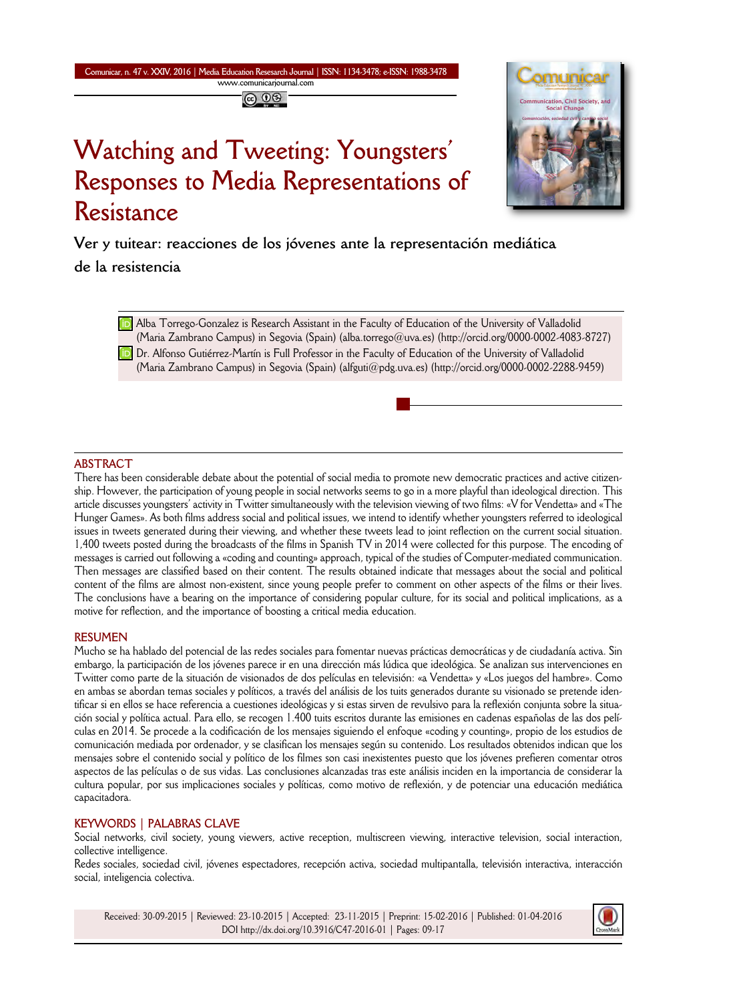#### **Comunicar, n. 47 v. XXIV, 2016 | Media Education Resesarch Journal | ISSN: 1134-3478; e-ISSN: 1988-3478 www.comunicarjournal.com**

# **Watching and Tweeting: Youngsters' Responses to Media Representations of Resistance**



**Ver y tuitear: reacciones de los jóvenes ante la representación mediática**

**de la resistencia**

**D** Alba Torrego-Gonzalez is Research Assistant in the Faculty of Education of the University of Valladolid (Maria Zambrano Campus) in Segovia (Spain) (alba.torrego@uva.es) (http://orcid.org/0000-0002-4083-8727) **D** Dr. Alfonso Gutiérrez-Martín is Full Professor in the Faculty of Education of the University of Valladolid (Maria Zambrano Campus) in Segovia (Spain) (alfguti@pdg.uva.es) (http://orcid.org/0000-0002-2288-9459)

## **ABSTRACT**

There has been considerable debate about the potential of social media to promote new democratic practices and active citizen ship. However, the participation of young people in social networks seems to go in a more playful than ideological direction. This article discusses youngsters' activity in Twitter simultaneously with the television viewing of two films: «V for Vendetta» and «The Hunger Games». As both films address social and political issues, we intend to identify whether youngsters referred to ideological issues in tweets generated during their viewing, and whether these tweets lead to joint reflection on the current social situation. 1,400 tweets posted during the broadcasts of the films in Spanish TV in 2014 were collected for this purpose. The encoding of messages is carried out following a «coding and counting» approach, typical of the studies of Computer-mediated communication. Then messages are classified based on their content. The results obtained indicate that messages about the social and political content of the films are almost non-existent, since young people prefer to comment on other aspects of the films or their lives. The conclusions have a bearing on the importance of considering popular culture, for its social and political implications, as a motive for reflection, and the importance of boosting a critical media education.

#### **RESUMEN**

Mucho se ha hablado del potencial de las redes sociales para fomentar nuevas prácticas democráticas y de ciudadanía activa. Sin embargo, la participación de los jóvenes parece ir en una dirección más lúdica que ideológica. Se analizan sus intervenciones en Twitter como parte de la situación de visionados de dos películas en televisión: «a Vendetta» y «Los juegos del hambre». Como en ambas se abordan temas sociales y políticos, a través del análisis de los tuits generados durante su visionado se pretende identificar si en ellos se hace referencia a cuestiones ideológicas y si estas sirven de revulsivo para la reflexión conjunta sobre la situación social y política actual. Para ello, se recogen 1.400 tuits escritos durante las emisiones en cadenas españolas de las dos películas en 2014. Se procede a la codificación de los mensajes siguiendo el enfoque «coding y counting», propio de los estudios de comunicación mediada por ordenador, y se clasifican los mensajes según su contenido. Los resultados obtenidos indican que los mensajes sobre el contenido social y político de los filmes son casi inexistentes puesto que los jóvenes prefieren comentar otros aspectos de las películas o de sus vidas. Las conclusiones alcanzadas tras este análisis inciden en la importancia de considerar la cultura popular, por sus implicaciones sociales y políticas, como motivo de reflexión, y de potenciar una educación mediática capacitadora.

#### **KEYWORDS | PALABRAS CLAVE**

Social networks, civil society, young viewers, active reception, multiscreen viewing, interactive television, social interaction, collective intelligence.

Redes sociales, sociedad civil, jóvenes espectadores, recepción activa, sociedad multipantalla, televisión interactiva, interacción social, inteligencia colectiva.

Received: 30-09-2015 | Reviewed: 23-10-2015 | Accepted: 23-11-2015 | Preprint: 15-02-2016 | Published: 01-04-2016 DOI http://dx.doi.org/10.3916/C47-2016-01 | Pages: 09-17

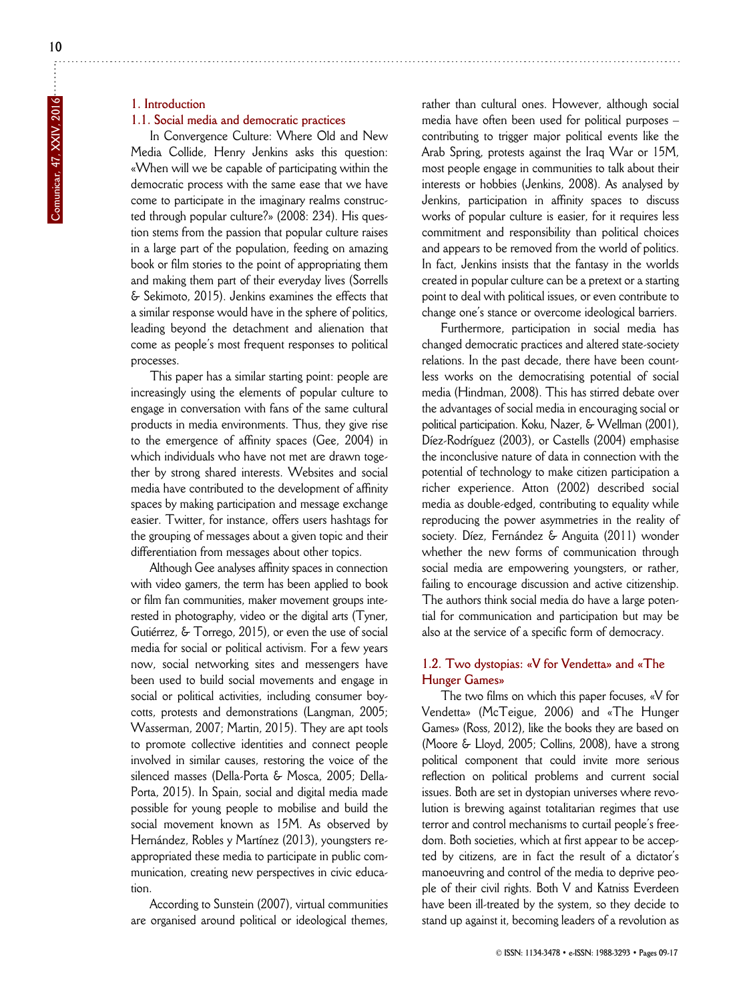# **1. Introduction**

#### **1.1. Social media and democratic practices**

In Convergence Culture: Where Old and New Media Collide, Henry Jenkins asks this question: «When will we be capable of participating within the democratic process with the same ease that we have come to participate in the imaginary realms constructed through popular culture?» (2008: 234). His question stems from the passion that popular culture raises in a large part of the population, feeding on amazing book or film stories to the point of appropriating them and making them part of their everyday lives (Sorrells & Sekimoto, 2015). Jenkins examines the effects that a similar response would have in the sphere of politics, leading beyond the detachment and alienation that come as people's most frequent responses to political processes.

This paper has a similar starting point: people are increasingly using the elements of popular culture to engage in conversation with fans of the same cultural products in media environments. Thus, they give rise to the emergence of affinity spaces (Gee, 2004) in which individuals who have not met are drawn together by strong shared interests. Websites and social media have contributed to the development of affinity spaces by making participation and message exchange easier. Twitter, for instance, offers users hashtags for the grouping of messages about a given topic and their differentiation from messages about other topics.

Although Gee analyses affinity spaces in connection with video gamers, the term has been applied to book or film fan communities, maker movement groups interested in photography, video or the digital arts (Tyner, Gutiérrez, & Torrego, 2015), or even the use of social media for social or political activism. For a few years now, social networking sites and messengers have been used to build social movements and engage in social or political activities, including consumer boycotts, protests and demonstrations (Langman, 2005; Wasserman, 2007; Martin, 2015). They are apt tools to promote collective identities and connect people involved in similar causes, restoring the voice of the silenced masses (Della-Porta & Mosca, 2005; Della-Porta, 2015). In Spain, social and digital media made possible for young people to mobilise and build the social movement known as 15M. As observed by Hernández, Robles y Martínez (2013), youngsters reappropriated these media to participate in public communication, creating new perspectives in civic education.

According to Sunstein (2007), virtual communities are organised around political or ideological themes,

rather than cultural ones. However, although social media have often been used for political purposes – contributing to trigger major political events like the Arab Spring, protests against the Iraq War or 15M, most people engage in communities to talk about their interests or hobbies (Jenkins, 2008). As analysed by Jenkins, participation in affinity spaces to discuss works of popular culture is easier, for it requires less commitment and responsibility than political choices and appears to be removed from the world of politics. In fact, Jenkins insists that the fantasy in the worlds created in popular culture can be a pretext or a starting point to deal with political issues, or even contribute to change one's stance or overcome ideological barriers.

Furthermore, participation in social media has changed democratic practices and altered state-society relations. In the past decade, there have been countless works on the democratising potential of social media (Hindman, 2008). This has stirred debate over the advantages of social media in encouraging social or political participation. Koku, Nazer, & Wellman (2001), Díez-Rodríguez (2003), or Castells (2004) emphasise the inconclusive nature of data in connection with the potential of technology to make citizen participation a richer experience. Atton (2002) described social media as double-edged, contributing to equality while reproducing the power asymmetries in the reality of society. Díez, Fernández & Anguita (2011) wonder whether the new forms of communication through social media are empowering youngsters, or rather, failing to encourage discussion and active citizenship. The authors think social media do have a large potential for communication and participation but may be also at the service of a specific form of democracy.

#### **1.2. Two dystopias: «V for Vendetta» and «The Hunger Games»**

The two films on which this paper focuses, «V for Vendetta» (McTeigue, 2006) and «The Hunger Games» (Ross, 2012), like the books they are based on (Moore & Lloyd, 2005; Collins, 2008), have a strong political component that could invite more serious reflection on political problems and current social issues. Both are set in dystopian universes where revolution is brewing against totalitarian regimes that use terror and control mechanisms to curtail people's freedom. Both societies, which at first appear to be accepted by citizens, are in fact the result of a dictator's manoeuvring and control of the media to deprive people of their civil rights. Both V and Katniss Everdeen have been ill-treated by the system, so they decide to stand up against it, becoming leaders of a revolution as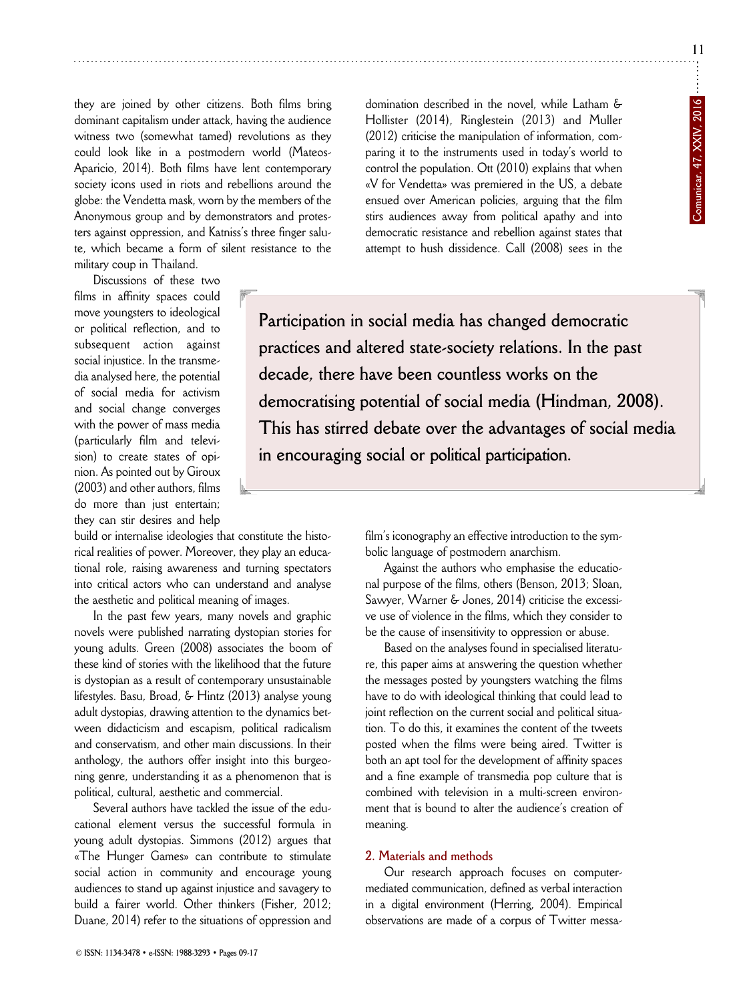they are joined by other citizens. Both films bring dominant capitalism under attack, having the audience witness two (somewhat tamed) revolutions as they could look like in a postmodern world (Mateos-Aparicio, 2014). Both films have lent contemporary society icons used in riots and rebellions around the globe: the Vendetta mask, worn by the members of the Anonymous group and by demonstrators and protesters against oppression, and Katniss's three finger salute, which became a form of silent resistance to the military coup in Thailand.

Discussions of these two films in affinity spaces could move youngsters to ideological or political reflection, and to subsequent action against social injustice. In the transmedia analysed here, the potential of social media for activism and social change converges with the power of mass media (particularly film and television) to create states of opinion. As pointed out by Giroux (2003) and other authors, films do more than just entertain; they can stir desires and help

build or internalise ideologies that constitute the historical realities of power. Moreover, they play an educational role, raising awareness and turning spectators into critical actors who can understand and analyse the aesthetic and political meaning of images.

In the past few years, many novels and graphic novels were published narrating dystopian stories for young adults. Green (2008) associates the boom of these kind of stories with the likelihood that the future is dystopian as a result of contemporary unsustainable lifestyles. Basu, Broad, & Hintz (2013) analyse young adult dystopias, drawing attention to the dynamics between didacticism and escapism, political radicalism and conservatism, and other main discussions. In their anthology, the authors offer insight into this burgeoning genre, understanding it as a phenomenon that is political, cultural, aesthetic and commercial.

Several authors have tackled the issue of the educational element versus the successful formula in young adult dystopias. Simmons (2012) argues that «The Hunger Games» can contribute to stimulate social action in community and encourage young audiences to stand up against injustice and savagery to build a fairer world. Other thinkers (Fisher, 2012; Duane, 2014) refer to the situations of oppression and

© **ISSN: 1134-3478 • e-ISSN: 1988-3293 • Pages 09-17**

domination described in the novel, while Latham & Hollister (2014), Ringlestein (2013) and Muller (2012) criticise the manipulation of information, comparing it to the instruments used in today's world to control the population. Ott (2010) explains that when «V for Vendetta» was premiered in the US, a debate ensued over American policies, arguing that the film stirs audiences away from political apathy and into democratic resistance and rebellion against states that attempt to hush dissidence. Call (2008) sees in the

**Participation in social media has changed democratic practices and altered state-society relations. In the past**  decade, there have been countless works on the **democratising potential of social media (Hindman, 2008). This has stirred debate over the advantages of social media in encouraging social or political participation.**

> film's iconography an effective introduction to the symbolic language of postmodern anarchism.

> Against the authors who emphasise the educational purpose of the films, others (Benson, 2013; Sloan, Sawyer, Warner & Jones, 2014) criticise the excessive use of violence in the films, which they consider to be the cause of insensitivity to oppression or abuse.

> Based on the analyses found in specialised literature, this paper aims at answering the question whether the messages posted by youngsters watching the films have to do with ideological thinking that could lead to joint reflection on the current social and political situation. To do this, it examines the content of the tweets posted when the films were being aired. Twitter is both an apt tool for the development of affinity spaces and a fine example of transmedia pop culture that is combined with television in a multi-screen environment that is bound to alter the audience's creation of meaning.

#### **2. Materials and methods**

Our research approach focuses on computermediated communication, defined as verbal interaction in a digital environment (Herring, 2004). Empirical observations are made of a corpus of Twitter messa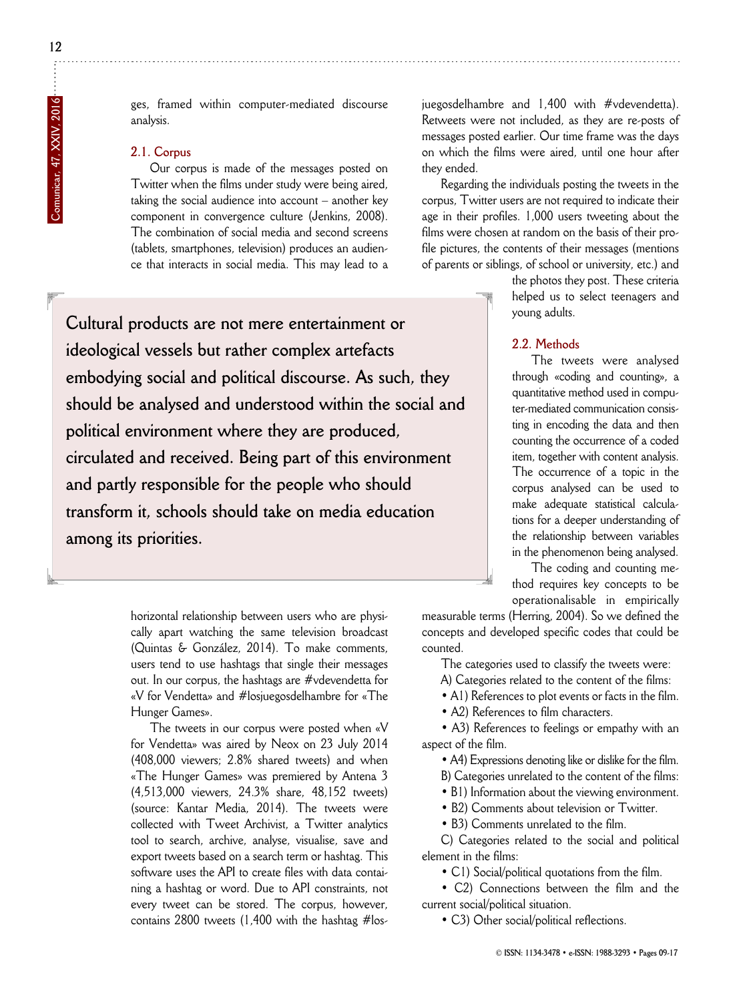ges, framed within computer-mediated discourse analysis.

## **2.1. Corpus**

Our corpus is made of the messages posted on Twitter when the films under study were being aired, taking the social audience into account – another key component in convergence culture (Jenkins, 2008). The combination of social media and second screens (tablets, smartphones, television) produces an audience that interacts in social media. This may lead to a

**Cultural products are not mere entertainment or ideological vessels but rather complex artefacts embodying social and political discourse. As such, they should be analysed and understood within the social and political environment where they are produced, circulated and received. Being part of this environment and partly responsible for the people who should transform it, schools should take on media education among its priorities.**

> horizontal relationship between users who are physically apart watching the same television broadcast (Quintas & González, 2014). To make comments, users tend to use hashtags that single their messages out. In our corpus, the hashtags are #vdevendetta for «V for Vendetta» and #losjuegosdelhambre for «The Hunger Games».

> The tweets in our corpus were posted when «V for Vendetta» was aired by Neox on 23 July 2014 (408,000 viewers; 2.8% shared tweets) and when «The Hunger Games» was premiered by Antena 3 (4,513,000 viewers, 24.3% share, 48,152 tweets) (source: Kantar Media, 2014). The tweets were collected with Tweet Archivist, a Twitter analytics tool to search, archive, analyse, visualise, save and export tweets based on a search term or hashtag. This software uses the API to create files with data containing a hashtag or word. Due to API constraints, not every tweet can be stored. The corpus, however, contains 2800 tweets (1,400 with the hashtag #los

juegosdelhambre and 1,400 with #vdevendetta). Retweets were not included, as they are re-posts of messages posted earlier. Our time frame was the days on which the films were aired, until one hour after they ended.

Regarding the individuals posting the tweets in the corpus, Twitter users are not required to indicate their age in their profiles. 1,000 users tweeting about the films were chosen at random on the basis of their profile pictures, the contents of their messages (mentions of parents or siblings, of school or university, etc.) and

> the photos they post. These criteria helped us to select teenagers and young adults.

#### **2.2. Methods**

The tweets were analysed through «coding and counting», a quantitative method used in computer-mediated communication consisting in encoding the data and then counting the occurrence of a coded item, together with content analysis. The occurrence of a topic in the corpus analysed can be used to make adequate statistical calculations for a deeper understanding of the relationship between variables in the phenomenon being analysed.

The coding and counting method requires key concepts to be operationalisable in empirically

measurable terms (Herring, 2004). So we defined the concepts and developed specific codes that could be counted.

The categories used to classify the tweets were:

A) Categories related to the content of the films:

• A1) References to plot events or facts in the film.

• A2) References to film characters.

• A3) References to feelings or empathy with an aspect of the film.

• A4) Expressions denoting like or dislike for the film.

B) Categories unrelated to the content of the films:

• B1) Information about the viewing environment.

• B2) Comments about television or Twitter.

• B3) Comments unrelated to the film.

C) Categories related to the social and political element in the films:

• C1) Social/political quotations from the film.

• C2) Connections between the film and the current social/political situation.

• C3) Other social/political reflections.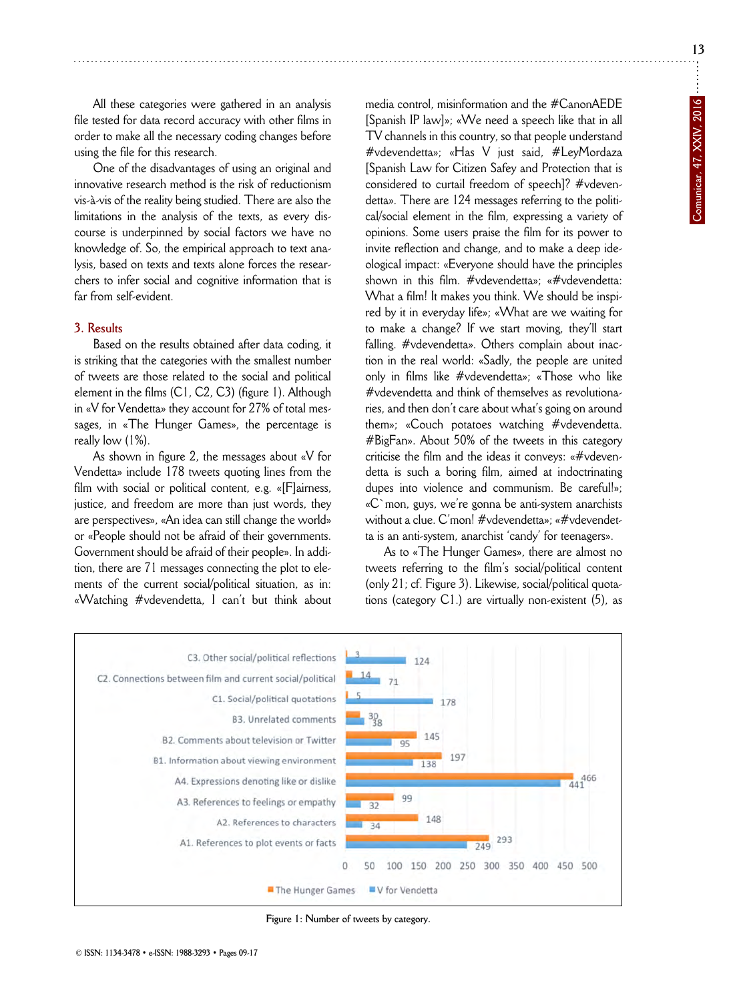**13**

All these categories were gathered in an analysis file tested for data record accuracy with other films in order to make all the necessary coding changes before using the file for this research.

One of the disadvantages of using an original and innovative research method is the risk of reductionism vis-à-vis of the reality being studied. There are also the limitations in the analysis of the texts, as every discourse is underpinned by social factors we have no knowledge of. So, the empirical approach to text analysis, based on texts and texts alone forces the researchers to infer social and cognitive information that is far from self-evident.

#### **3. Results**

Based on the results obtained after data coding, it is striking that the categories with the smallest number of tweets are those related to the social and political element in the films (C1, C2, C3) (figure 1). Although in «V for Vendetta» they account for 27% of total messages, in «The Hunger Games», the percentage is really low (1%).

As shown in figure 2, the messages about «V for Vendetta» include 178 tweets quoting lines from the film with social or political content, e.g. «[F]airness, justice, and freedom are more than just words, they are perspectives», «An idea can still change the world» or «People should not be afraid of their governments. Government should be afraid of their people». In addition, there are 71 messages connecting the plot to elements of the current social/political situation, as in: «Watching #vdevendetta, I can't but think about media control, misinformation and the #CanonAEDE [Spanish IP law]»; «We need a speech like that in all TV channels in this country, so that people understand #vdevendetta»; «Has V just said, #LeyMordaza [Spanish Law for Citizen Safey and Protection that is considered to curtail freedom of speech]? #vdevendetta». There are 124 messages referring to the political/social element in the film, expressing a variety of opinions. Some users praise the film for its power to invite reflection and change, and to make a deep ideological impact: «Everyone should have the principles shown in this film. #vdevendetta»; «#vdevendetta: What a film! It makes you think. We should be inspired by it in everyday life»; «What are we waiting for to make a change? If we start moving, they'll start falling. #vdevendetta». Others complain about inaction in the real world: «Sadly, the people are united only in films like #vdevendetta»; «Those who like #vdevendetta and think of themselves as revolutionaries, and then don't care about what's going on around them»; «Couch potatoes watching #vdevendetta. #BigFan». About 50% of the tweets in this category criticise the film and the ideas it conveys: «#vdevendetta is such a boring film, aimed at indoctrinating dupes into violence and communism. Be careful!»; «C`mon, guys, we're gonna be anti-system anarchists without a clue. C'mon! #vdevendetta»; «#vdevendetta is an anti-system, anarchist 'candy' for teenagers».

As to «The Hunger Games», there are almost no tweets referring to the film's social/political content (only 21; cf. Figure 3). Likewise, social/political quotations (category C1.) are virtually non-existent (5), as



**Figure 1: Number of tweets by category.**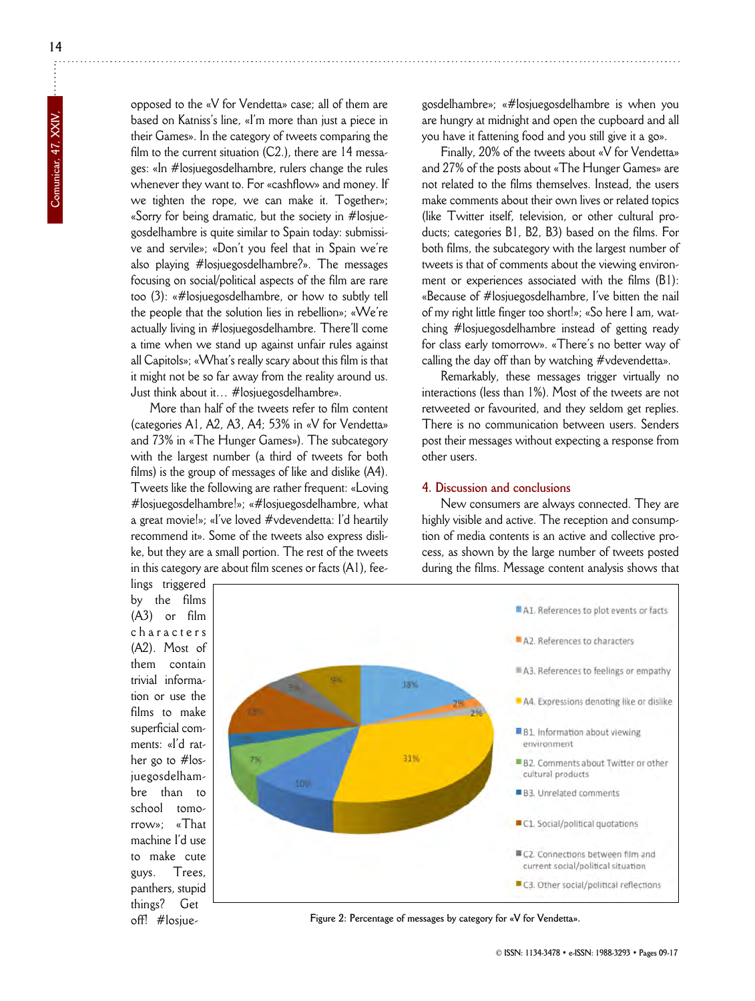**14**

opposed to the «V for Vendetta» case; all of them are based on Katniss's line, «I'm more than just a piece in their Games». In the category of tweets comparing the film to the current situation (C2.), there are 14 messages: «In #losjuegosdelhambre, rulers change the rules whenever they want to. For «cashflow» and money. If we tighten the rope, we can make it. Together»; «Sorry for being dramatic, but the society in #losjuegosdelhambre is quite similar to Spain today: submissive and servile»; «Don't you feel that in Spain we're also playing #losjuegosdelhambre?». The messages focusing on social/political aspects of the film are rare too (3): «#losjuegosdelhambre, or how to subtly tell the people that the solution lies in rebellion»; «We're actually living in #losjuegosdelhambre. There'll come a time when we stand up against unfair rules against all Capitols»; «What's really scary about this film is that it might not be so far away from the reality around us. Just think about it… #losjuegosdelhambre».

More than half of the tweets refer to film content (categories A1, A2, A3, A4; 53% in «V for Vendetta» and 73% in «The Hunger Games»). The subcategory with the largest number (a third of tweets for both films) is the group of messages of like and dislike (A4). Tweets like the following are rather frequent: «Loving #losjuegosdelhambre!»; «#losjuegosdelhambre, what a great movie!»; «I've loved #vdevendetta: I'd heartily recommend it». Some of the tweets also express dislike, but they are a small portion. The rest of the tweets in this category are about film scenes or facts (A1), fee-

gosdelhambre»; «#losjuegosdelhambre is when you are hungry at midnight and open the cupboard and all you have it fattening food and you still give it a go».

Finally, 20% of the tweets about «V for Vendetta» and 27% of the posts about «The Hunger Games» are not related to the films themselves. Instead, the users make comments about their own lives or related topics (like Twitter itself, television, or other cultural products; categories B1, B2, B3) based on the films. For both films, the subcategory with the largest number of tweets is that of comments about the viewing environment or experiences associated with the films (B1): «Because of #losjuegosdelhambre, I've bitten the nail of my right little finger too short!»; «So here I am, watching #losjuegosdelhambre instead of getting ready for class early tomorrow». «There's no better way of calling the day off than by watching #vdevendetta».

Remarkably, these messages trigger virtually no interactions (less than 1%). Most of the tweets are not retweeted or favourited, and they seldom get replies. There is no communication between users. Senders post their messages without expecting a response from other users.

#### **4. Discussion and conclusions**

New consumers are always connected. They are highly visible and active. The reception and consumption of media contents is an active and collective process, as shown by the large number of tweets posted during the films. Message content analysis shows that

lings triggered by the films (A3) or film characters (A2). Most of them contain trivial information or use the films to make superficial comments: «I'd rather go to #losjuegosdelhambre than to school tomorrow»; «That machine I'd use to make cute guys. Trees, panthers, stupid things? Get off! #losjue-



**Figure 2: Percentage of messages by category for «V for Vendetta».**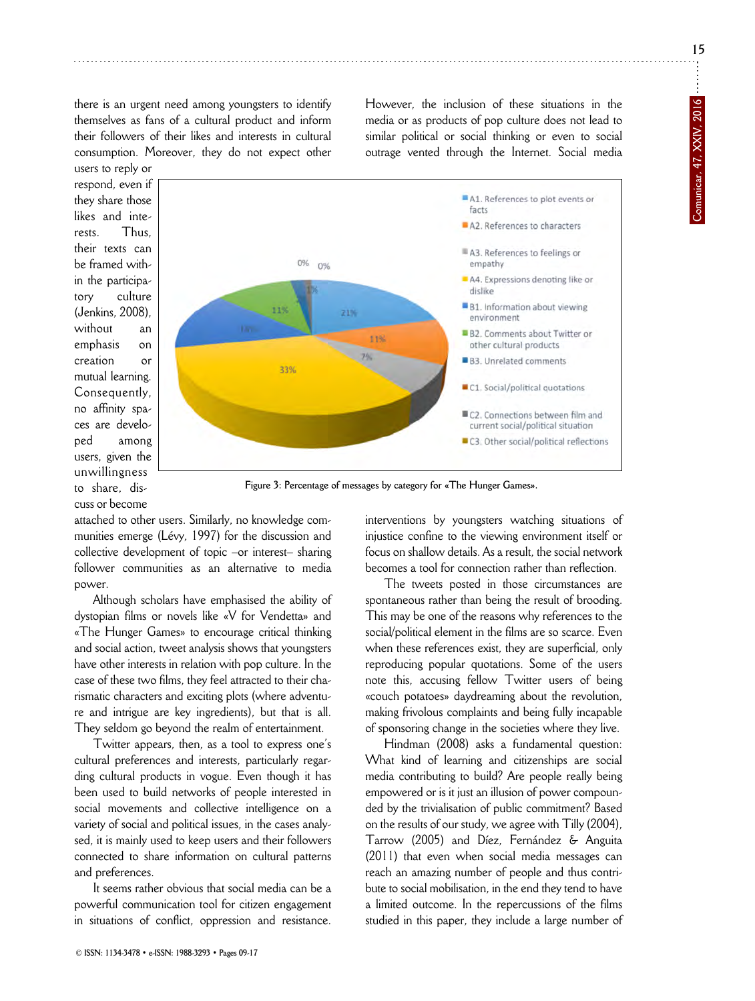**15**

there is an urgent need among youngsters to identify themselves as fans of a cultural product and inform their followers of their likes and interests in cultural consumption. Moreover, they do not expect other However, the inclusion of these situations in the media or as products of pop culture does not lead to similar political or social thinking or even to social outrage vented through the Internet. Social media

users to reply or respond, even if they share those likes and interests. Thus, their texts can be framed within the participatory culture (Jenkins, 2008), without an emphasis on creation or mutual learning. Consequently, no affinity spaces are developed among users, given the unwillingness to share, discuss or become



**Figure 3: Percentage of messages by category for «The Hunger Games».**

attached to other users. Similarly, no knowledge communities emerge (Lévy, 1997) for the discussion and collective development of topic –or interest– sharing follower communities as an alternative to media power.

Although scholars have emphasised the ability of dystopian films or novels like «V for Vendetta» and «The Hunger Games» to encourage critical thinking and social action, tweet analysis shows that youngsters have other interests in relation with pop culture. In the case of these two films, they feel attracted to their charismatic characters and exciting plots (where adventure and intrigue are key ingredients), but that is all. They seldom go beyond the realm of entertainment.

Twitter appears, then, as a tool to express one's cultural preferences and interests, particularly regarding cultural products in vogue. Even though it has been used to build networks of people interested in social movements and collective intelligence on a variety of social and political issues, in the cases analysed, it is mainly used to keep users and their followers connected to share information on cultural patterns and preferences.

It seems rather obvious that social media can be a powerful communication tool for citizen engagement in situations of conflict, oppression and resistance.

© **ISSN: 1134-3478 • e-ISSN: 1988-3293 • Pages 09-17**

interventions by youngsters watching situations of injustice confine to the viewing environment itself or focus on shallow details. As a result, the social network becomes a tool for connection rather than reflection.

The tweets posted in those circumstances are spontaneous rather than being the result of brooding. This may be one of the reasons why references to the social/political element in the films are so scarce. Even when these references exist, they are superficial, only reproducing popular quotations. Some of the users note this, accusing fellow Twitter users of being «couch potatoes» daydreaming about the revolution, making frivolous complaints and being fully incapable of sponsoring change in the societies where they live.

Hindman (2008) asks a fundamental question: What kind of learning and citizenships are social media contributing to build? Are people really being empowered or is it just an illusion of power compounded by the trivialisation of public commitment? Based on the results of our study, we agree with Tilly (2004), Tarrow (2005) and Díez, Fernández & Anguita (2011) that even when social media messages can reach an amazing number of people and thus contribute to social mobilisation, in the end they tend to have a limited outcome. In the repercussions of the films studied in this paper, they include a large number of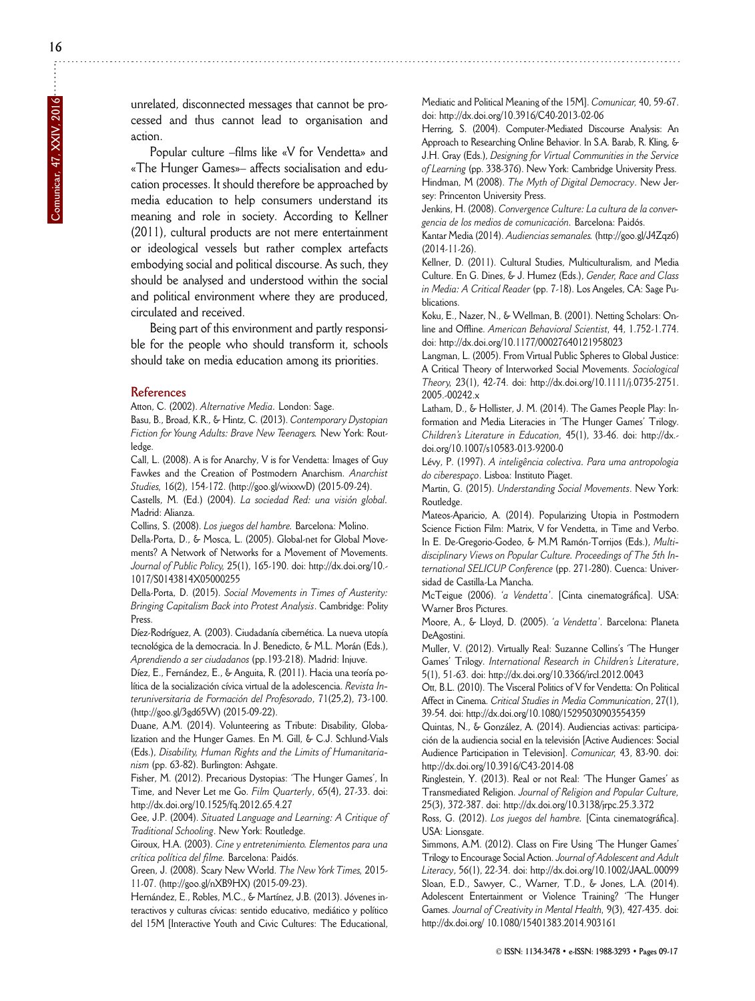unrelated, disconnected messages that cannot be processed and thus cannot lead to organisation and action.

Popular culture –films like «V for Vendetta» and «The Hunger Games»– affects socialisation and education processes. It should therefore be approached by media education to help consumers understand its meaning and role in society. According to Kellner (2011), cultural products are not mere entertainment or ideological vessels but rather complex artefacts embodying social and political discourse. As such, they should be analysed and understood within the social and political environment where they are produced, circulated and received.

Being part of this environment and partly responsible for the people who should transform it, schools should take on media education among its priorities.

#### **References**

Atton, C. (2002). *Alternative Media.* London: Sage.

Basu, B., Broad, K.R., & Hintz, C. (2013). *Contemporary Dystopian* Fiction for Young Adults: Brave New Teenagers. New York: Routledge.

Call, L. (2008). A is for Anarchy, V is for Vendetta: Images of Guy Fawkes and the Creation of Postmodern Anarchism. *Anarchist Studies,* 16(2), 154-172. (http://goo.gl/wixxwD) (2015-09-24).

Castells, M. (Ed.) (2004). *La sociedad Red: una visión global.* Madrid: Alianza.

Collins, S. (2008). *Los juegos del hambre.* Barcelona: Molino.

Della-Porta, D., & Mosca, L. (2005). Global-net for Global Movements? A Network of Networks for a Movement of Movements. *Journal of Public Policy,* 25(1), 165-190. doi: http://dx.doi.org/10. - 1017/S0143814X05000255

Della-Porta, D. (2015). *Social Movements in Times of Austerity: Bringing Capitalism Back into Protest Analysis*. Cambridge: Polity Press.

Díez-Rodríguez, A. (2003). Ciudadanía cibernética. La nueva utopía tecnológica de la democracia. In J. Benedicto, & M.L. Morán (Eds.), *Aprendiendo a ser ciudadanos* (pp.193-218). Madrid: Inju ve.

Díez, E., Fernández, E., & Anguita, R. (2011). Hacia una teoría política de la socialización cívica virtual de la adolescencia. *Revista In teruniversitaria de Formación del Profesorado*, 71(25,2), 73-100. (http://goo.gl/3gd65W) (2015-09-22).

Duane, A.M. (2014). Volunteering as Tribute: Disability, Globalization and the Hunger Games. En M. Gill, & C.J. Schlund-Vials (Eds.), *Disability, Human Rights and the Limits of Humanitaria nism* (pp. 63-82). Burlington: Ashgate.

Fisher, M. (2012). Precarious Dystopias: 'The Hunger Games', In Time, and Never Let me Go. *Film Quarterly*, 65(4), 27-33. doi: http://dx.doi.org/10.1525/fq.2012.65.4.27

Gee, J.P. (2004). *Situated Language and Learning: A Critique of Traditional Schooling*. New York: Routledge.

Giroux, H.A. (2003). *Cine y entretenimiento. Elementos para una crítica política del filme.* Barcelona: Paidós.

Green, J. (2008). Scary New World. *The New York Times,* 2015- 11-07. (http://goo.gl/nXB9HX) (2015-09-23).

Hernández, E., Robles, M.C., & Martínez, J.B. (2013). Jóvenes in teractivos y culturas cívicas: sentido educativo, mediático y político del 15M [Interactive Youth and Civic Cultures: The Educational,

Mediatic and Political Meaning of the 15M]. *Comunicar,* 40, 59-67. doi: http://dx.doi.org/10.3916/C40-2013-02-06

Herring, S. (2004). Computer-Mediated Discourse Analysis: An Approach to Researching Online Behavior. In S.A. Barab, R. Kling, & J.H. Gray (Eds.), *Designing for Virtual Communities in the Ser vice of Learning* (pp. 338-376). New York: Cambridge University Press. Hindman, M (2008). *The Myth of Digital Democracy*. New Jersey: Princenton University Press.

Jenkins, H. (2008). *Convergence Culture: La cultura de la convergencia de los medios de comunicación.* Barcelona: Paidós.

Kantar Media (2014). *Audiencias semanales.* (http://goo.gl/J4Zqz6) (2014-11-26).

Kellner, D. (2011). Cultural Studies, Multiculturalism, and Media Culture. En G. Dines, & J. Humez (Eds.), *Gender, Race and Class in Media: A Critical Reader* (pp. 7-18). Los Angeles, CA: Sage Publications.

Koku, E., Nazer, N., & Wellman, B. (2001). Netting Scholars: On line and Offline. *American Behavioral Scientist,* 44, 1.752-1.774. doi: http://dx.doi.org/10.1177/00027640121958023

Langman, L. (2005). From Virtual Public Spheres to Global Justice: A Critical Theory of Interworked Social Movements. *Sociological Theory,* 23(1), 42-74. doi: http://dx.doi.org/10.1111/j.0735-2751. 2005.-00242.x

Latham, D., & Hollister, J. M. (2014). The Games People Play: Information and Media Literacies in 'The Hunger Games' Trilogy. *Chil dren's Literature in Education,* 45(1), 33-46. doi: http://dx. doi.org/ 10.1007/s10583-013-9200-0

Lévy, P. (1997). *A inteligência colectiva. Para uma antropologia do ciberespaço*. Lisboa: Instituto Piaget.

Martin, G. (2015). *Understanding Social Movements*. New York: Routledge.

Mateos-Aparicio, A. (2014). Popularizing Utopia in Postmodern Science Fiction Film: Matrix, V for Vendetta, in Time and Verbo. In E. De-Gregorio-Godeo, & M.M Ramón-Torrijos (Eds.), *Multi disciplinary Views on Popular Culture. Proceedings of The 5th In ternational SELICUP Conference* (pp. 271-280). Cuenca: Univer sidad de Castilla-La Mancha.

McTeigue (2006). '*a Vendetta'*. [Cinta cinematográfica]. USA: Warner Bros Pictures.

Moore, A., & Lloyd, D. (2005). '*a Vendetta'.* Barcelona: Planeta DeAgostini.

Muller, V. (2012). Virtually Real: Suzanne Collins's 'The Hunger Games' Trilogy. *International Research in Children's Literature*, 5(1), 51-63. doi: http://dx.doi.org/10.3366/ircl.2012.0043

Ott, B.L. (2010). The Visceral Politics of V for Vendetta: On Political Affect in Cinema. *Critical Studies in Media Communication*, 27(1), 39-54. doi: http://dx.doi.org/10.1080/152950309035 54359

Quintas, N., & González, A. (2014). Audiencias activas: participación de la audiencia social en la televisión [Active Audiences: Social Audience Participation in Television]. *Comunicar,* 43, 83-90. doi: http://dx.doi.org/10.3916/C43-2014-08

Ringlestein, Y. (2013). Real or not Real: 'The Hunger Games' as Transmediated Religion. *Journal of Religion and Popular Culture,* 25(3), 372-387. doi: http://dx.doi.org/10.3138/jrpc.25.3.372

Ross, G. (2012). *Los juegos del hambre.* [Cinta cinematográfica]. USA: Lionsgate.

Simmons, A.M. (2012). Class on Fire Using 'The Hunger Games' Trilogy to Encourage Social Action. *Journal of Adolescent and Adult Literacy*, 56(1), 22-34. doi: http://dx.doi.org/10.1002/JA AL.00099 Sloan, E.D., Sawyer, C., Warner, T.D., & Jones, L.A. (2014). Adolescent Entertainment or Violence Training? 'The Hunger Games. *Journal of Creativity in Mental Health,* 9(3), 427-435. doi: http://dx.doi.org/ 10.1080/15401383.2014.903161